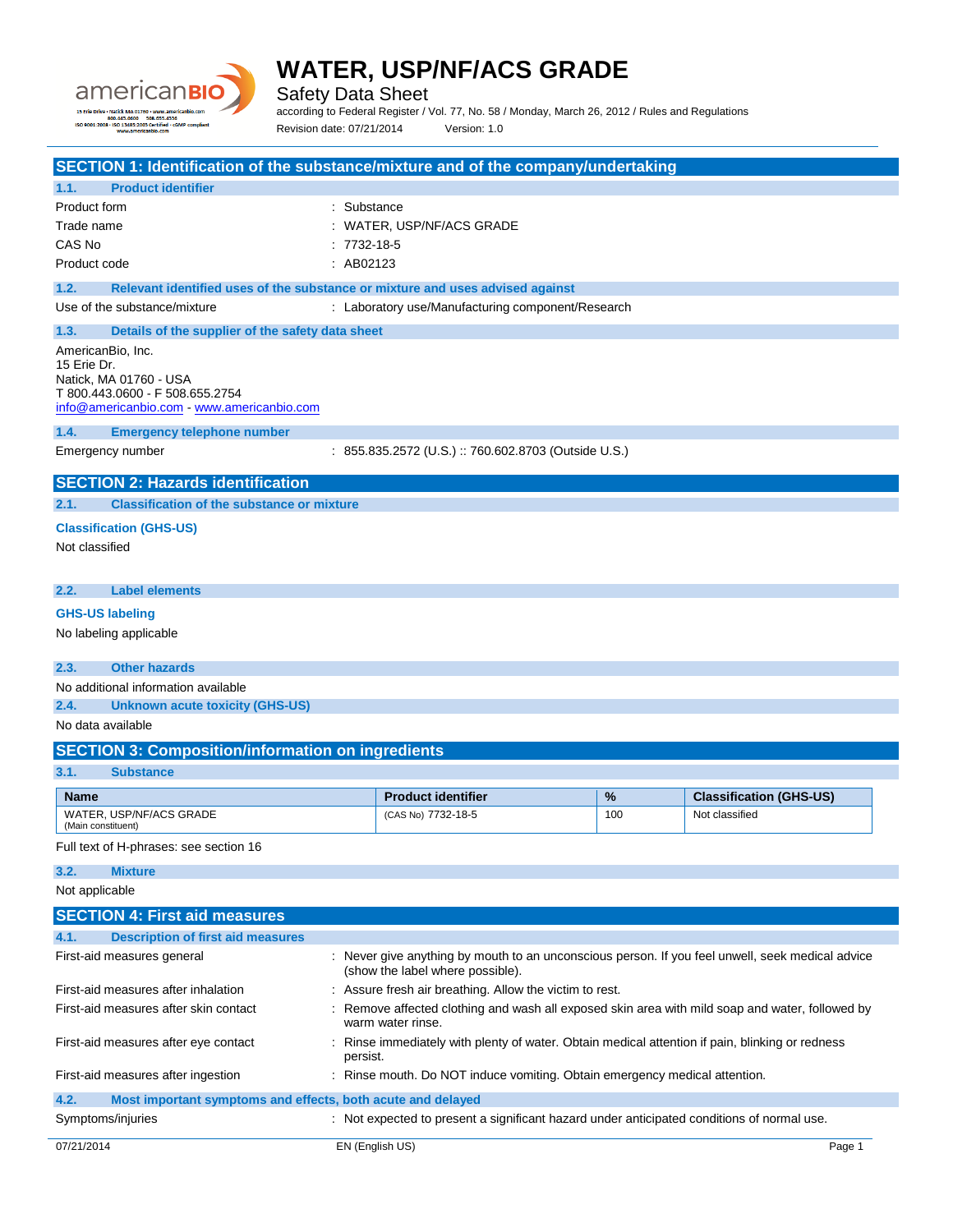

Safety Data Sheet

according to Federal Register / Vol. 77, No. 58 / Monday, March 26, 2012 / Rules and Regulations Revision date: 07/21/2014 Version: 1.0

| SECTION 1: Identification of the substance/mixture and of the company/undertaking<br><b>Product identifier</b><br>1.1. |                   |                                                                                                  |     |                                |
|------------------------------------------------------------------------------------------------------------------------|-------------------|--------------------------------------------------------------------------------------------------|-----|--------------------------------|
| <b>Product form</b>                                                                                                    | : Substance       |                                                                                                  |     |                                |
| Trade name                                                                                                             |                   | : WATER, USP/NF/ACS GRADE                                                                        |     |                                |
| CAS No                                                                                                                 | $: 7732 - 18 - 5$ |                                                                                                  |     |                                |
| Product code                                                                                                           | : AB02123         |                                                                                                  |     |                                |
| 1.2.<br>Relevant identified uses of the substance or mixture and uses advised against                                  |                   |                                                                                                  |     |                                |
| Use of the substance/mixture                                                                                           |                   | : Laboratory use/Manufacturing component/Research                                                |     |                                |
| 1.3.<br>Details of the supplier of the safety data sheet                                                               |                   |                                                                                                  |     |                                |
| AmericanBio, Inc.                                                                                                      |                   |                                                                                                  |     |                                |
| 15 Erie Dr.                                                                                                            |                   |                                                                                                  |     |                                |
| Natick, MA 01760 - USA<br>T 800.443.0600 - F 508.655.2754                                                              |                   |                                                                                                  |     |                                |
| info@americanbio.com www.americanbio.com                                                                               |                   |                                                                                                  |     |                                |
| 1.4.<br><b>Emergency telephone number</b>                                                                              |                   |                                                                                                  |     |                                |
| Emergency number                                                                                                       |                   | : 855.835.2572 (U.S.) :: 760.602.8703 (Outside U.S.)                                             |     |                                |
| <b>SECTION 2: Hazards identification</b>                                                                               |                   |                                                                                                  |     |                                |
| 2.1.<br><b>Classification of the substance or mixture</b>                                                              |                   |                                                                                                  |     |                                |
| <b>Classification (GHS-US)</b>                                                                                         |                   |                                                                                                  |     |                                |
| Not classified                                                                                                         |                   |                                                                                                  |     |                                |
|                                                                                                                        |                   |                                                                                                  |     |                                |
| 2.2.<br>Label elements                                                                                                 |                   |                                                                                                  |     |                                |
| <b>GHS-US labeling</b>                                                                                                 |                   |                                                                                                  |     |                                |
| No labeling applicable                                                                                                 |                   |                                                                                                  |     |                                |
|                                                                                                                        |                   |                                                                                                  |     |                                |
| 2.3.<br><b>Other hazards</b>                                                                                           |                   |                                                                                                  |     |                                |
| No additional information available                                                                                    |                   |                                                                                                  |     |                                |
| 2.4.<br><b>Unknown acute toxicity (GHS-US)</b>                                                                         |                   |                                                                                                  |     |                                |
| No data available                                                                                                      |                   |                                                                                                  |     |                                |
| <b>SECTION 3: Composition/information on ingredients</b>                                                               |                   |                                                                                                  |     |                                |
| 3.1.<br><b>Substance</b>                                                                                               |                   |                                                                                                  |     |                                |
| <b>Name</b>                                                                                                            |                   | <b>Product identifier</b>                                                                        | %   | <b>Classification (GHS-US)</b> |
| WATER, USP/NF/ACS GRADE<br>(Main constituent)                                                                          |                   | (CAS No) 7732-18-5                                                                               | 100 | Not classified                 |
| Full text of H-phrases: see section 16                                                                                 |                   |                                                                                                  |     |                                |
| 3.2.<br><b>Mixture</b>                                                                                                 |                   |                                                                                                  |     |                                |
| Not applicable                                                                                                         |                   |                                                                                                  |     |                                |
| <b>SECTION 4: First aid measures</b>                                                                                   |                   |                                                                                                  |     |                                |
| <b>Description of first aid measures</b><br>4.1.                                                                       |                   |                                                                                                  |     |                                |
| First-aid measures general                                                                                             |                   | : Never give anything by mouth to an unconscious person. If you feel unwell, seek medical advice |     |                                |
|                                                                                                                        |                   | (show the label where possible).                                                                 |     |                                |
| First-aid measures after inhalation                                                                                    |                   | : Assure fresh air breathing. Allow the victim to rest.                                          |     |                                |
| First-aid measures after skin contact                                                                                  | warm water rinse. | Remove affected clothing and wash all exposed skin area with mild soap and water, followed by    |     |                                |
| First-aid measures after eye contact                                                                                   | persist.          | Rinse immediately with plenty of water. Obtain medical attention if pain, blinking or redness    |     |                                |
| First-aid measures after ingestion                                                                                     |                   | : Rinse mouth. Do NOT induce vomiting. Obtain emergency medical attention.                       |     |                                |
| 4.2.<br>Most important symptoms and effects, both acute and delayed                                                    |                   |                                                                                                  |     |                                |
| Symptoms/injuries                                                                                                      |                   | : Not expected to present a significant hazard under anticipated conditions of normal use.       |     |                                |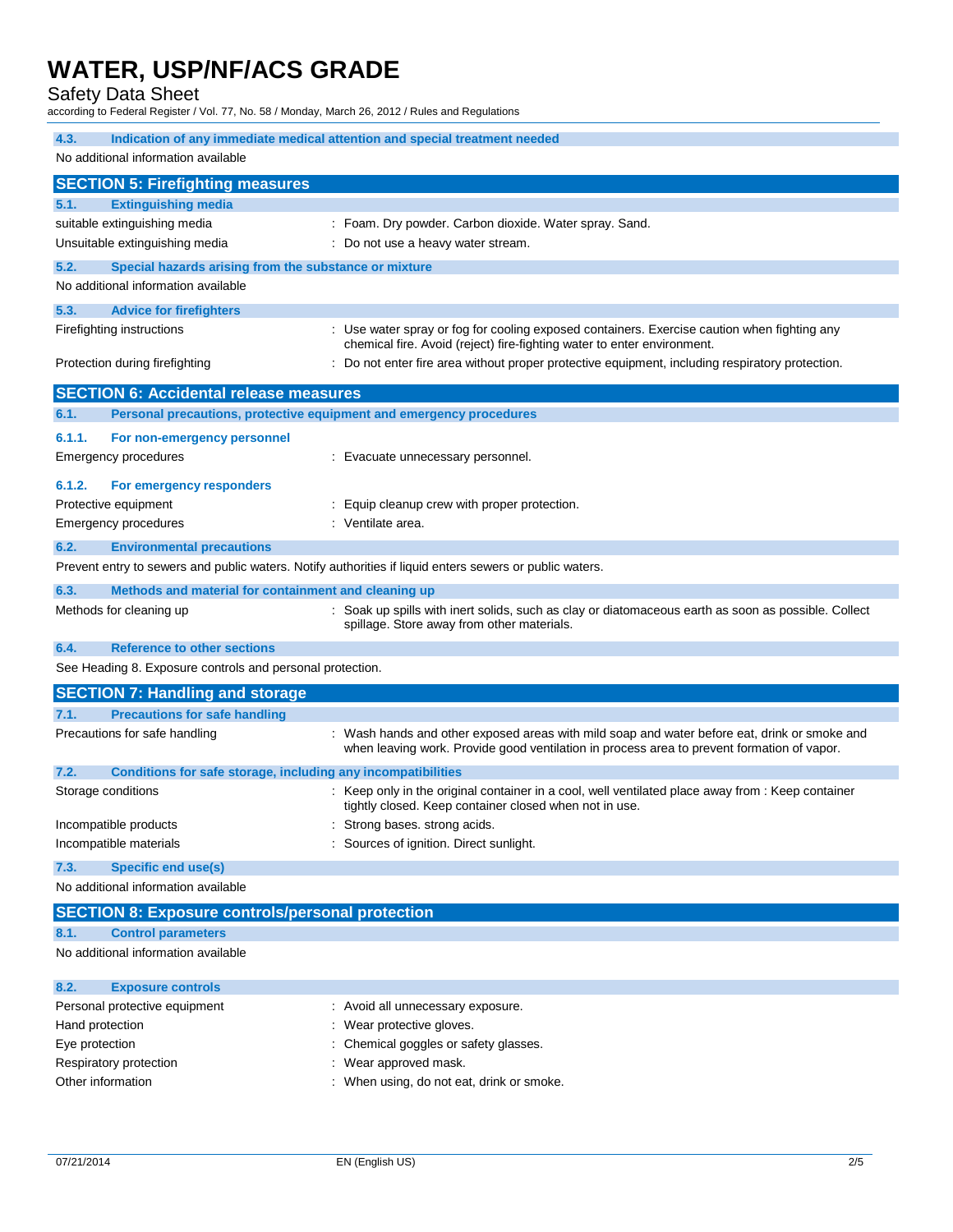### Safety Data Sheet

according to Federal Register / Vol. 77, No. 58 / Monday, March 26, 2012 / Rules and Regulations

| 4.3.<br>Indication of any immediate medical attention and special treatment needed                      |                                                                                                                                                                                            |
|---------------------------------------------------------------------------------------------------------|--------------------------------------------------------------------------------------------------------------------------------------------------------------------------------------------|
| No additional information available                                                                     |                                                                                                                                                                                            |
| <b>SECTION 5: Firefighting measures</b>                                                                 |                                                                                                                                                                                            |
| <b>Extinguishing media</b><br>5.1.                                                                      |                                                                                                                                                                                            |
| suitable extinguishing media                                                                            | : Foam. Dry powder. Carbon dioxide. Water spray. Sand.                                                                                                                                     |
| Unsuitable extinguishing media                                                                          | : Do not use a heavy water stream.                                                                                                                                                         |
| 5.2.<br>Special hazards arising from the substance or mixture                                           |                                                                                                                                                                                            |
| No additional information available                                                                     |                                                                                                                                                                                            |
| 5.3.<br><b>Advice for firefighters</b>                                                                  |                                                                                                                                                                                            |
| Firefighting instructions                                                                               | : Use water spray or fog for cooling exposed containers. Exercise caution when fighting any<br>chemical fire. Avoid (reject) fire-fighting water to enter environment.                     |
| Protection during firefighting                                                                          | : Do not enter fire area without proper protective equipment, including respiratory protection.                                                                                            |
| <b>SECTION 6: Accidental release measures</b>                                                           |                                                                                                                                                                                            |
| 6.1.<br>Personal precautions, protective equipment and emergency procedures                             |                                                                                                                                                                                            |
| 6.1.1.<br>For non-emergency personnel                                                                   |                                                                                                                                                                                            |
| Emergency procedures                                                                                    | : Evacuate unnecessary personnel.                                                                                                                                                          |
| 6.1.2.<br>For emergency responders                                                                      |                                                                                                                                                                                            |
| Protective equipment                                                                                    | : Equip cleanup crew with proper protection.                                                                                                                                               |
| <b>Emergency procedures</b>                                                                             | : Ventilate area.                                                                                                                                                                          |
| 6.2.<br><b>Environmental precautions</b>                                                                |                                                                                                                                                                                            |
| Prevent entry to sewers and public waters. Notify authorities if liquid enters sewers or public waters. |                                                                                                                                                                                            |
| 6.3.<br>Methods and material for containment and cleaning up                                            |                                                                                                                                                                                            |
| Methods for cleaning up                                                                                 | : Soak up spills with inert solids, such as clay or diatomaceous earth as soon as possible. Collect<br>spillage. Store away from other materials.                                          |
| 6.4.<br><b>Reference to other sections</b>                                                              |                                                                                                                                                                                            |
| See Heading 8. Exposure controls and personal protection.                                               |                                                                                                                                                                                            |
| <b>SECTION 7: Handling and storage</b>                                                                  |                                                                                                                                                                                            |
| <b>Precautions for safe handling</b><br>7.1.                                                            |                                                                                                                                                                                            |
| Precautions for safe handling                                                                           | : Wash hands and other exposed areas with mild soap and water before eat, drink or smoke and<br>when leaving work. Provide good ventilation in process area to prevent formation of vapor. |
| 7.2.<br>Conditions for safe storage, including any incompatibilities                                    |                                                                                                                                                                                            |
| Storage conditions                                                                                      | : Keep only in the original container in a cool, well ventilated place away from : Keep container<br>tightly closed. Keep container closed when not in use.                                |
| Incompatible products                                                                                   | Strong bases. strong acids.                                                                                                                                                                |
| Incompatible materials                                                                                  | Sources of ignition. Direct sunlight.                                                                                                                                                      |
| 7.3.<br><b>Specific end use(s)</b>                                                                      |                                                                                                                                                                                            |
| No additional information available                                                                     |                                                                                                                                                                                            |
| <b>SECTION 8: Exposure controls/personal protection</b>                                                 |                                                                                                                                                                                            |
| 8.1.<br><b>Control parameters</b>                                                                       |                                                                                                                                                                                            |
| No additional information available                                                                     |                                                                                                                                                                                            |
|                                                                                                         |                                                                                                                                                                                            |

| : Avoid all unnecessary exposure.         |
|-------------------------------------------|
| : Wear protective gloves.                 |
| : Chemical goggles or safety glasses.     |
| : Wear approved mask.                     |
| : When using, do not eat, drink or smoke. |
|                                           |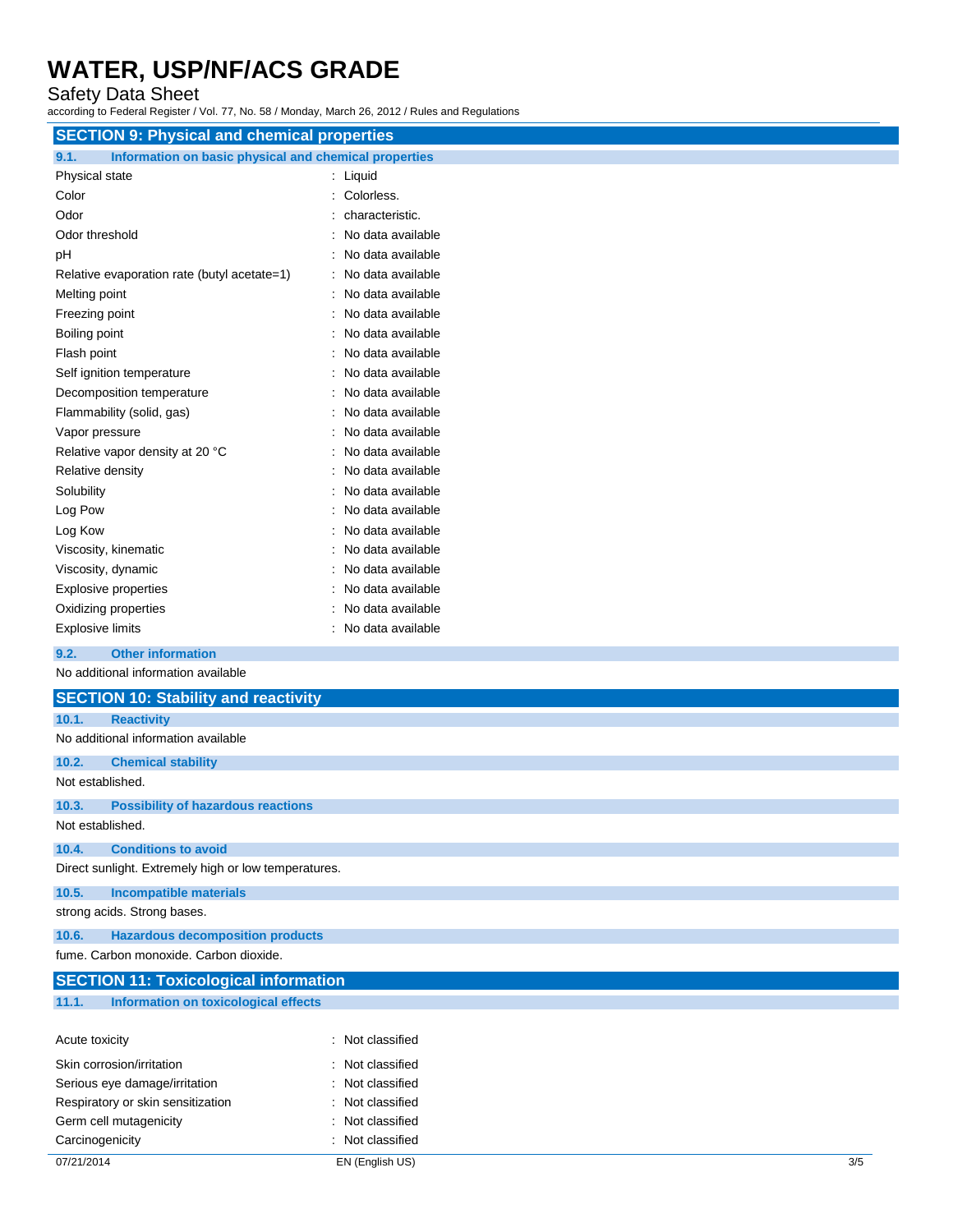Safety Data Sheet

according to Federal Register / Vol. 77, No. 58 / Monday, March 26, 2012 / Rules and Regulations

| <b>SECTION 9: Physical and chemical properties</b>            |                   |
|---------------------------------------------------------------|-------------------|
| Information on basic physical and chemical properties<br>9.1. |                   |
| Physical state                                                | : Liquid          |
| Color                                                         | Colorless.        |
| Odor                                                          | characteristic.   |
| Odor threshold                                                | No data available |
| рH                                                            | No data available |
| Relative evaporation rate (butyl acetate=1)                   | No data available |
| Melting point                                                 | No data available |
| Freezing point                                                | No data available |
| Boiling point                                                 | No data available |
| Flash point                                                   | No data available |
| Self ignition temperature                                     | No data available |
| Decomposition temperature                                     | No data available |
| Flammability (solid, gas)                                     | No data available |
| Vapor pressure                                                | No data available |
| Relative vapor density at 20 °C                               | No data available |
| Relative density                                              | No data available |
| Solubility                                                    | No data available |
| Log Pow                                                       | No data available |
| Log Kow                                                       | No data available |
| Viscosity, kinematic                                          | No data available |
| Viscosity, dynamic                                            | No data available |
| <b>Explosive properties</b>                                   | No data available |
| Oxidizing properties                                          | No data available |
| <b>Explosive limits</b>                                       | No data available |
| <b>Other information</b><br>9.2.                              |                   |
| No additional information available                           |                   |
| <b>SECTION 10: Stability and reactivity</b>                   |                   |
| <b>Reactivity</b><br>10.1.                                    |                   |
| No additional information available                           |                   |

#### **10.2. Chemical stability** Not established.

**10.3. Possibility of hazardous reactions** Not established.

**10.4. Conditions to avoid**

Direct sunlight. Extremely high or low temperatures.

**10.5. Incompatible materials**

strong acids. Strong bases.

**10.6. Hazardous decomposition products**

Carcinogenicity **Carcinogenicity :** Not classified

fume. Carbon monoxide. Carbon dioxide.

| <b>SECTION 11: Toxicological information</b>  |                  |
|-----------------------------------------------|------------------|
| 11.1.<br>Information on toxicological effects |                  |
|                                               |                  |
| Acute toxicity                                | : Not classified |
| Skin corrosion/irritation                     | : Not classified |
| Serious eye damage/irritation                 | : Not classified |
| Respiratory or skin sensitization             | : Not classified |
| Germ cell mutagenicity                        | : Not classified |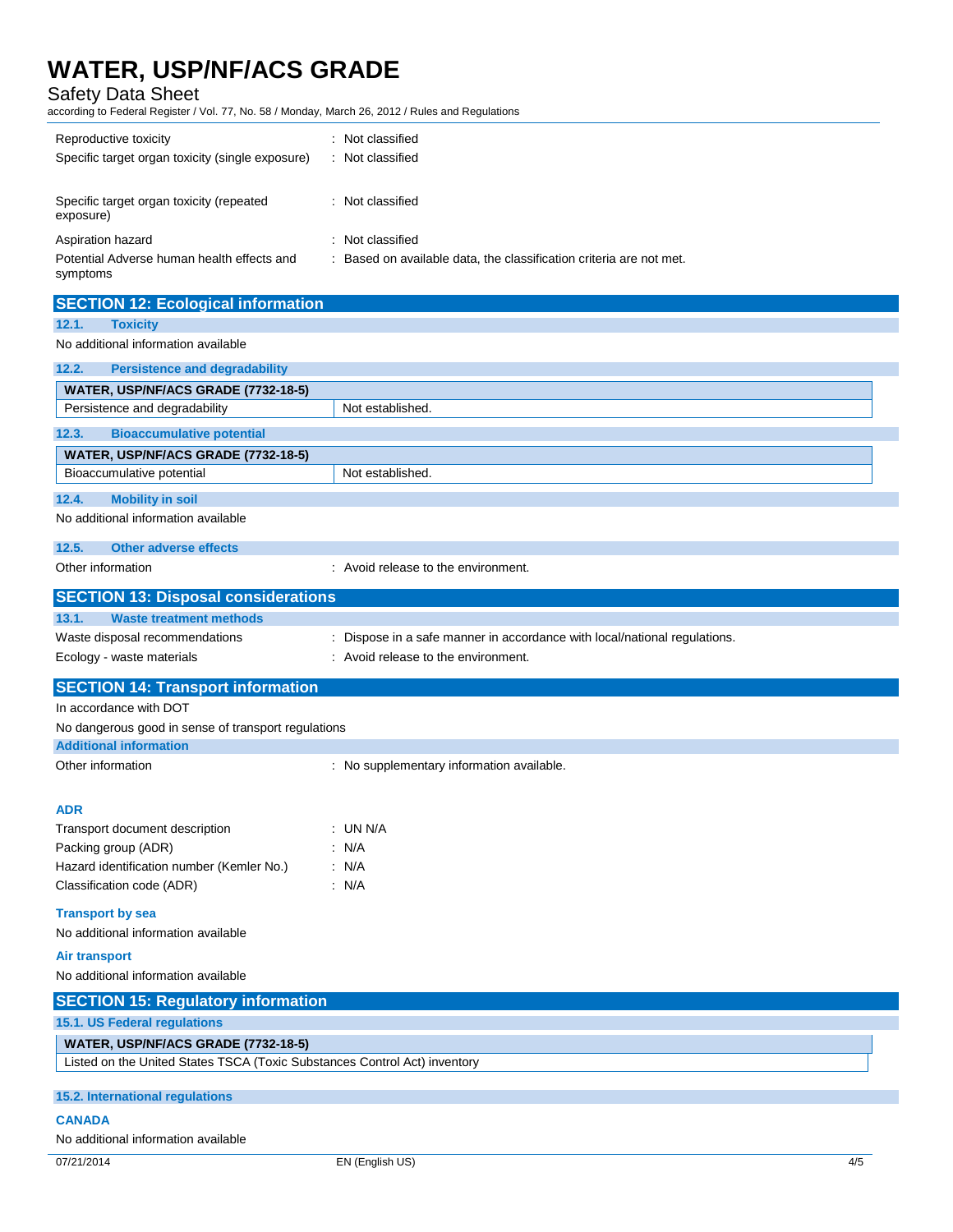### Safety Data Sheet

according to Federal Register / Vol. 77, No. 58 / Monday, March 26, 2012 / Rules and Regulations

| Reproductive toxicity<br>Specific target organ toxicity (single exposure) | : Not classified<br>: Not classified                                |
|---------------------------------------------------------------------------|---------------------------------------------------------------------|
| Specific target organ toxicity (repeated<br>exposure)                     | : Not classified                                                    |
| Aspiration hazard                                                         | : Not classified                                                    |
| Potential Adverse human health effects and<br>symptoms                    | : Based on available data, the classification criteria are not met. |

| <b>SECTION 12: Ecological information</b>                                 |                                                                           |     |
|---------------------------------------------------------------------------|---------------------------------------------------------------------------|-----|
| 12.1.<br><b>Toxicity</b>                                                  |                                                                           |     |
| No additional information available                                       |                                                                           |     |
| 12.2.<br><b>Persistence and degradability</b>                             |                                                                           |     |
| WATER, USP/NF/ACS GRADE (7732-18-5)                                       |                                                                           |     |
| Persistence and degradability                                             | Not established.                                                          |     |
| 12.3.<br><b>Bioaccumulative potential</b>                                 |                                                                           |     |
|                                                                           |                                                                           |     |
| WATER, USP/NF/ACS GRADE (7732-18-5)<br>Bioaccumulative potential          | Not established.                                                          |     |
|                                                                           |                                                                           |     |
| 12.4.<br><b>Mobility in soil</b><br>No additional information available   |                                                                           |     |
|                                                                           |                                                                           |     |
| 12.5.<br>Other adverse effects                                            |                                                                           |     |
| Other information                                                         | : Avoid release to the environment.                                       |     |
| <b>SECTION 13: Disposal considerations</b>                                |                                                                           |     |
| 13.1.<br><b>Waste treatment methods</b>                                   |                                                                           |     |
| Waste disposal recommendations                                            | : Dispose in a safe manner in accordance with local/national regulations. |     |
| Ecology - waste materials                                                 | : Avoid release to the environment.                                       |     |
|                                                                           |                                                                           |     |
| <b>SECTION 14: Transport information</b>                                  |                                                                           |     |
| In accordance with DOT                                                    |                                                                           |     |
| No dangerous good in sense of transport regulations                       |                                                                           |     |
| <b>Additional information</b>                                             |                                                                           |     |
| Other information                                                         | : No supplementary information available.                                 |     |
|                                                                           |                                                                           |     |
| <b>ADR</b>                                                                |                                                                           |     |
| Transport document description                                            | $:$ UN N/A                                                                |     |
| Packing group (ADR)                                                       | : N/A                                                                     |     |
| Hazard identification number (Kemler No.)                                 | : $N/A$                                                                   |     |
| Classification code (ADR)                                                 | : $N/A$                                                                   |     |
| <b>Transport by sea</b>                                                   |                                                                           |     |
| No additional information available                                       |                                                                           |     |
| Air transport                                                             |                                                                           |     |
| No additional information available                                       |                                                                           |     |
| <b>SECTION 15: Regulatory information</b>                                 |                                                                           |     |
| 15.1. US Federal regulations                                              |                                                                           |     |
| WATER, USP/NF/ACS GRADE (7732-18-5)                                       |                                                                           |     |
| Listed on the United States TSCA (Toxic Substances Control Act) inventory |                                                                           |     |
|                                                                           |                                                                           |     |
| 15.2. International regulations                                           |                                                                           |     |
| <b>CANADA</b>                                                             |                                                                           |     |
| No additional information available                                       |                                                                           |     |
| 07/21/2014                                                                | EN (English US)                                                           | 4/5 |